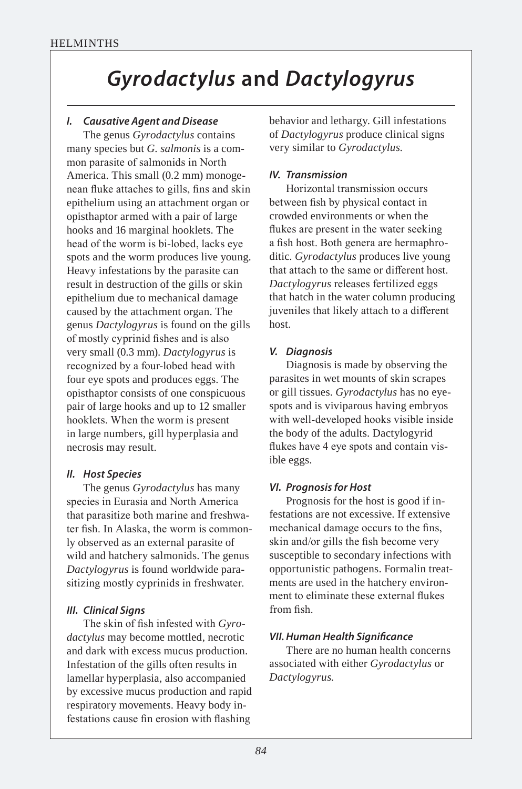# *Gyrodactylus* **and** *Dactylogyrus*

## *I. Causative Agent and Disease*

The genus *Gyrodactylus* contains many species but *G. salmonis* is a common parasite of salmonids in North America. This small (0.2 mm) monogenean fluke attaches to gills, fins and skin epithelium using an attachment organ or opisthaptor armed with a pair of large hooks and 16 marginal hooklets. The head of the worm is bi-lobed, lacks eye spots and the worm produces live young. Heavy infestations by the parasite can result in destruction of the gills or skin epithelium due to mechanical damage caused by the attachment organ. The genus *Dactylogyrus* is found on the gills of mostly cyprinid fishes and is also very small (0.3 mm). *Dactylogyrus* is recognized by a four-lobed head with four eye spots and produces eggs. The opisthaptor consists of one conspicuous pair of large hooks and up to 12 smaller hooklets. When the worm is present in large numbers, gill hyperplasia and necrosis may result.

## *II. Host Species*

The genus *Gyrodactylus* has many species in Eurasia and North America that parasitize both marine and freshwater fish. In Alaska, the worm is commonly observed as an external parasite of wild and hatchery salmonids. The genus *Dactylogyrus* is found worldwide parasitizing mostly cyprinids in freshwater.

## *III. Clinical Signs*

The skin of fish infested with *Gyrodactylus* may become mottled, necrotic and dark with excess mucus production. Infestation of the gills often results in lamellar hyperplasia, also accompanied by excessive mucus production and rapid respiratory movements. Heavy body infestations cause fin erosion with flashing

behavior and lethargy. Gill infestations of *Dactylogyrus* produce clinical signs very similar to *Gyrodactylus*.

## *IV. Transmission*

Horizontal transmission occurs between fish by physical contact in crowded environments or when the flukes are present in the water seeking a fish host. Both genera are hermaphroditic. *Gyrodactylus* produces live young that attach to the same or different host. *Dactylogyrus* releases fertilized eggs that hatch in the water column producing juveniles that likely attach to a different host.

## *V. Diagnosis*

Diagnosis is made by observing the parasites in wet mounts of skin scrapes or gill tissues. *Gyrodactylus* has no eyespots and is viviparous having embryos with well-developed hooks visible inside the body of the adults. Dactylogyrid flukes have 4 eye spots and contain visible eggs.

## *VI. Prognosis for Host*

Prognosis for the host is good if infestations are not excessive. If extensive mechanical damage occurs to the fins, skin and/or gills the fish become very susceptible to secondary infections with opportunistic pathogens. Formalin treatments are used in the hatchery environment to eliminate these external flukes from fish.

## *VII. Human Health Signifcance*

There are no human health concerns associated with either *Gyrodactylus* or *Dactylogyrus*.